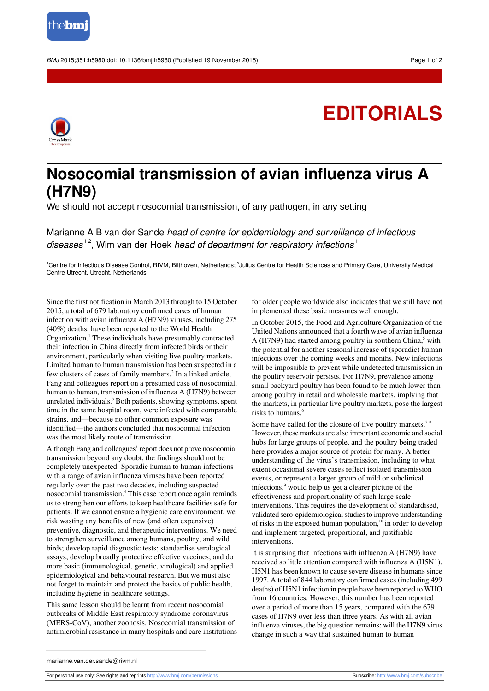

BMJ 2015:351:h5980 doi: 10.1136/bmi.h5980 (Published 19 November 2015) Page 1 of 2

## **EDITORIALS**



## **Nosocomial transmission of avian influenza virus A (H7N9)**

We should not accept nosocomial transmission, of any pathogen, in any setting

Marianne A B van der Sande head of centre for epidemiology and surveillance of infectious diseases<sup>12</sup>, Wim van der Hoek head of department for respiratory infections<sup>1</sup>

<sup>1</sup>Centre for Infectious Disease Control, RIVM, Bilthoven, Netherlands; <sup>2</sup>Julius Centre for Health Sciences and Primary Care, University Medical Centre Utrecht, Utrecht, Netherlands

Since the first notification in March 2013 through to 15 October 2015, a total of 679 laboratory confirmed cases of human infection with avian influenza A (H7N9) viruses, including 275 (40%) deaths, have been reported to the World Health Organization.<sup>1</sup> These individuals have presumably contracted their infection in China directly from infected birds or their environment, particularly when visiting live poultry markets. Limited human to human transmission has been suspected in a few clusters of cases of family members.<sup>2</sup> In a linked article, Fang and colleagues report on a presumed case of nosocomial, human to human, transmission of influenza A (H7N9) between unrelated individuals.<sup>3</sup> Both patients, showing symptoms, spent time in the same hospital room, were infected with comparable strains, and—because no other common exposure was identified—the authors concluded that nosocomial infection was the most likely route of transmission.

Although Fang and colleagues' report does not prove nosocomial transmission beyond any doubt, the findings should not be completely unexpected. Sporadic human to human infections with a range of avian influenza viruses have been reported regularly over the past two decades, including suspected nosocomial transmission.<sup>4</sup> This case report once again reminds us to strengthen our efforts to keep healthcare facilities safe for patients. If we cannot ensure a hygienic care environment, we risk wasting any benefits of new (and often expensive) preventive, diagnostic, and therapeutic interventions. We need to strengthen surveillance among humans, poultry, and wild birds; develop rapid diagnostic tests; standardise serological assays; develop broadly protective effective vaccines; and do more basic (immunological, genetic, virological) and applied epidemiological and behavioural research. But we must also not forget to maintain and protect the basics of public health, including hygiene in healthcare settings.

This same lesson should be learnt from recent nosocomial outbreaks of Middle East respiratory syndrome coronavirus (MERS-CoV), another zoonosis. Nosocomial transmission of antimicrobial resistance in many hospitals and care institutions

for older people worldwide also indicates that we still have not implemented these basic measures well enough.

In October 2015, the Food and Agriculture Organization of the United Nations announced that a fourth wave of avian influenza A (H7N9) had started among poultry in southern China,<sup>5</sup> with the potential for another seasonal increase of (sporadic) human infections over the coming weeks and months. New infections will be impossible to prevent while undetected transmission in the poultry reservoir persists. For H7N9, prevalence among small backyard poultry has been found to be much lower than among poultry in retail and wholesale markets, implying that the markets, in particular live poultry markets, pose the largest risks to humans.<sup>6</sup>

Some have called for the closure of live poultry markets.<sup>7 8</sup> However, these markets are also important economic and social hubs for large groups of people, and the poultry being traded here provides a major source of protein for many. A better understanding of the virus's transmission, including to what extent occasional severe cases reflect isolated transmission events, or represent a larger group of mild or subclinical infections,<sup>9</sup> would help us get a clearer picture of the effectiveness and proportionality of such large scale interventions. This requires the development of standardised, validated sero-epidemiological studies to improve understanding of risks in the exposed human population,<sup>10</sup> in order to develop and implement targeted, proportional, and justifiable interventions.

It is surprising that infections with influenza A (H7N9) have received so little attention compared with influenza A (H5N1). H5N1 has been known to cause severe disease in humans since 1997. A total of 844 laboratory confirmed cases (including 499 deaths) of H5N1 infection in people have been reported to WHO from 16 countries. However, this number has been reported over a period of more than 15 years, compared with the 679 cases of H7N9 over less than three years. As with all avian influenza viruses, the big question remains: will the H7N9 virus change in such a way that sustained human to human

marianne.van.der.sande@rivm.nl